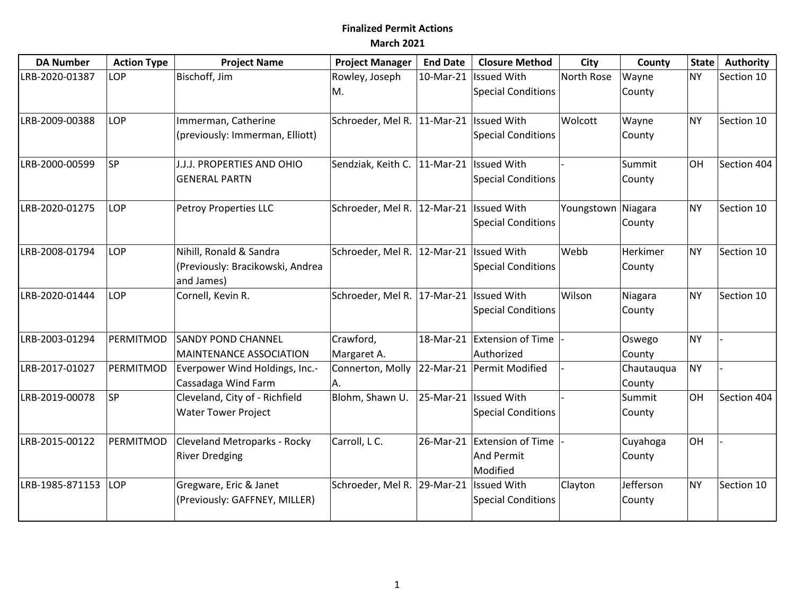## **Finalized Permit Actions March 2021**

| <b>DA Number</b> | <b>Action Type</b> | <b>Project Name</b>              | <b>Project Manager</b>                       | <b>End Date</b> | <b>Closure Method</b>       | City               | County     | <b>State</b> | Authority   |
|------------------|--------------------|----------------------------------|----------------------------------------------|-----------------|-----------------------------|--------------------|------------|--------------|-------------|
| LRB-2020-01387   | <b>LOP</b>         | Bischoff, Jim                    | Rowley, Joseph                               | 10-Mar-21       | Issued With                 | North Rose         | Wayne      | <b>NY</b>    | Section 10  |
|                  |                    |                                  | M.                                           |                 | Special Conditions          |                    | County     |              |             |
| LRB-2009-00388   | <b>LOP</b>         | Immerman, Catherine              | Schroeder, Mel R. 11-Mar-21   Issued With    |                 |                             | Wolcott            | Wayne      | <b>NY</b>    | Section 10  |
|                  |                    | (previously: Immerman, Elliott)  |                                              |                 | <b>Special Conditions</b>   |                    | County     |              |             |
| LRB-2000-00599   | <b>SP</b>          | J.J.J. PROPERTIES AND OHIO       | Sendziak, Keith C.   11-Mar-21   Issued With |                 |                             |                    | Summit     | <b>OH</b>    | Section 404 |
|                  |                    | <b>GENERAL PARTN</b>             |                                              |                 | <b>Special Conditions</b>   |                    | County     |              |             |
| LRB-2020-01275   | LOP                | <b>Petroy Properties LLC</b>     | Schroeder, Mel R. 12-Mar-21   Issued With    |                 |                             | Youngstown Niagara |            | <b>NY</b>    | Section 10  |
|                  |                    |                                  |                                              |                 | Special Conditions          |                    | County     |              |             |
| LRB-2008-01794   | LOP                | Nihill, Ronald & Sandra          | Schroeder, Mel R.                            | 12-Mar-21       | <b>Issued With</b>          | Webb               | Herkimer   | <b>NY</b>    | Section 10  |
|                  |                    | (Previously: Bracikowski, Andrea |                                              |                 | Special Conditions          |                    | County     |              |             |
|                  |                    | and James)                       |                                              |                 |                             |                    |            |              |             |
| LRB-2020-01444   | LOP                | Cornell, Kevin R.                | Schroeder, Mel R. 17-Mar-21   Issued With    |                 |                             | Wilson             | Niagara    | <b>NY</b>    | Section 10  |
|                  |                    |                                  |                                              |                 | Special Conditions          |                    | County     |              |             |
| LRB-2003-01294   | PERMITMOD          | <b>SANDY POND CHANNEL</b>        | Crawford,                                    | 18-Mar-21       | <b>Extension of Time</b>    |                    | Oswego     | <b>NY</b>    |             |
|                  |                    | MAINTENANCE ASSOCIATION          | Margaret A.                                  |                 | Authorized                  |                    | County     |              |             |
| LRB-2017-01027   | PERMITMOD          | Everpower Wind Holdings, Inc.-   | Connerton, Molly                             | 22-Mar-21       | Permit Modified             |                    | Chautauqua | <b>NY</b>    |             |
|                  |                    | Cassadaga Wind Farm              | IA.                                          |                 |                             |                    | County     |              |             |
| LRB-2019-00078   | <b>SP</b>          | Cleveland, City of - Richfield   | Blohm, Shawn U.                              | 25-Mar-21       | <b>Issued With</b>          |                    | Summit     | OH           | Section 404 |
|                  |                    | <b>Water Tower Project</b>       |                                              |                 | Special Conditions          |                    | County     |              |             |
| LRB-2015-00122   | PERMITMOD          | Cleveland Metroparks - Rocky     | Carroll, L C.                                |                 | 26-Mar-21 Extension of Time |                    | Cuyahoga   | <b>OH</b>    |             |
|                  |                    | <b>River Dredging</b>            |                                              |                 | And Permit                  |                    | County     |              |             |
|                  |                    |                                  |                                              |                 | Modified                    |                    |            |              |             |
| LRB-1985-871153  | LOP                | Gregware, Eric & Janet           | Schroeder, Mel R.                            | 29-Mar-21       | <b>Issued With</b>          | Clayton            | Jefferson  | <b>NY</b>    | Section 10  |
|                  |                    | (Previously: GAFFNEY, MILLER)    |                                              |                 | Special Conditions          |                    | County     |              |             |
|                  |                    |                                  |                                              |                 |                             |                    |            |              |             |